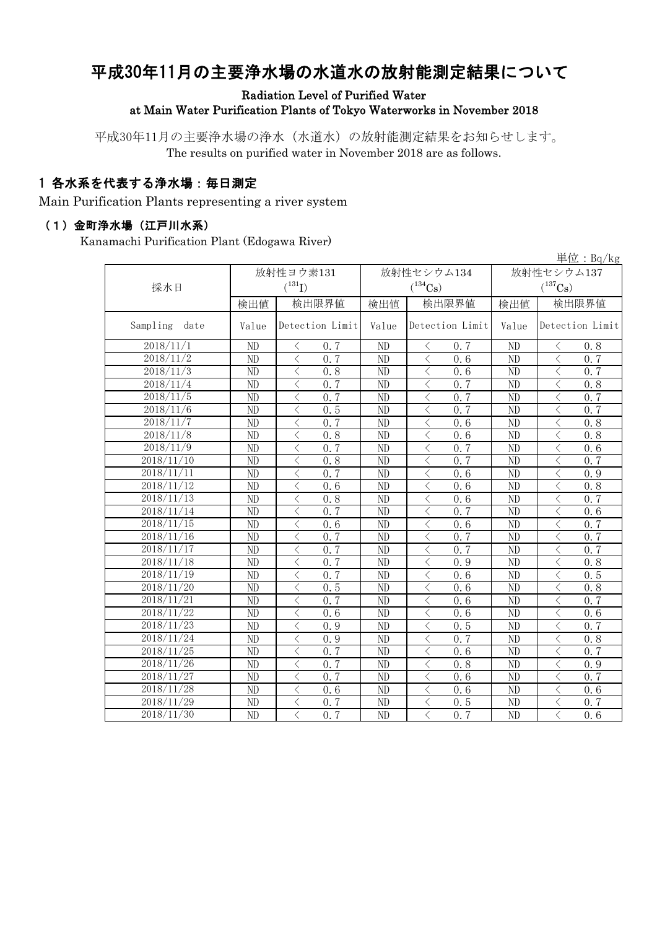# 平成30年11月の主要浄水場の水道水の放射能測定結果について

Radiation Level of Purified Water

at Main Water Purification Plants of Tokyo Waterworks in November 2018

平成30年11月の主要浄水場の浄水(水道水)の放射能測定結果をお知らせします。 The results on purified water in November 2018 are as follows.

# 1 各水系を代表する浄水場:毎日測定

Main Purification Plants representing a river system

#### (1)金町浄水場(江戸川水系)

Kanamachi Purification Plant (Edogawa River)

| 単位: Bq/kg        |                 |                                                  |                        |                                 |                       |                                                 |  |  |  |
|------------------|-----------------|--------------------------------------------------|------------------------|---------------------------------|-----------------------|-------------------------------------------------|--|--|--|
|                  | 放射性ヨウ素131       |                                                  |                        | 放射性セシウム134                      | 放射性セシウム137            |                                                 |  |  |  |
| 採水日              |                 | $(^{131}I)$                                      |                        | $(^{134}\mathrm{Cs})$           | $(^{137}\mathrm{Cs})$ |                                                 |  |  |  |
|                  | 検出値             | 検出限界値                                            | 検出値                    | 検出限界値                           |                       | 検出限界値<br>検出値                                    |  |  |  |
|                  |                 |                                                  |                        |                                 |                       |                                                 |  |  |  |
| Sampling<br>date | Value           | Detection Limit                                  | Value                  | Detection Limit                 | Value                 | Detection Limit                                 |  |  |  |
| 2018/11/1        | N <sub>D</sub>  | く<br>0.7                                         | N <sub>D</sub>         | 0, 7<br>$\langle$               | N <sub>D</sub>        | $\langle$<br>0.8                                |  |  |  |
| 2018/11/2        | ND              | $\lt$<br>0.7                                     | $\overline{ND}$        | $\langle$<br>0.6                | ND                    | $\overline{\langle}$<br>0, 7                    |  |  |  |
| 2018/11/3        | ND              | $\lt$<br>0.8                                     | $\overline{\text{ND}}$ | $\langle$<br>0.6                | ND                    | $\lt$<br>0.7                                    |  |  |  |
| 2018/11/4        | N <sub>D</sub>  | $\overline{\left\langle \right\rangle }$<br>0, 7 | ND                     | $\langle$<br>0.7                | ND                    | $\overline{\left\langle \right\rangle }$<br>0.8 |  |  |  |
| 2018/11/5        | ND              | $\lt$<br>0.7                                     | ND                     | $\lt$<br>0.7                    | ND                    | $\langle$<br>0.7                                |  |  |  |
| 2018/11/6        | ND              | $\lt$<br>0.5                                     | ND                     | $\langle$<br>0, 7               | ND                    | $\langle$<br>0, 7                               |  |  |  |
| 2018/11/7        | ND              | $\lt$<br>0.7                                     | ND                     | $\lt$<br>0.6                    | ND                    | $\lt$<br>0.8                                    |  |  |  |
| 2018/11/8        | ND              | $\lt$<br>0.8                                     | ND                     | $\lt$<br>0.6                    | ND                    | $\langle$<br>0.8                                |  |  |  |
| 2018/11/9        | ND              | $\lt$<br>0.7                                     | ND                     | $\lt$<br>0.7                    | ND                    | $\langle$<br>0.6                                |  |  |  |
| 2018/11/10       | ND              | $\overline{\left\langle \right\rangle }$<br>0.8  | $\overline{ND}$        | $\overline{\langle}$<br>0, 7    | ND                    | $\overline{\langle}$<br>0.7                     |  |  |  |
| 2018/11/11       | ND              | $\lt$<br>0, 7                                    | ND                     | $\lt$<br>0.6                    | ND                    | $\langle$<br>0.9                                |  |  |  |
| 2018/11/12       | ND              | $\lt$<br>0, 6                                    | ND                     | $\lt$<br>0, 6                   | ND                    | $\lt$<br>0.8                                    |  |  |  |
| 2018/11/13       | ND              | 0.8<br>$\lt$                                     | ND                     | 0.6<br>$\lt$                    | ND                    | $\langle$<br>0.7                                |  |  |  |
| 2018/11/14       | ND              | 0.7<br>$\lt$                                     | ND                     | 0, 7<br>$\langle$               | ND                    | $\lt$<br>0.6                                    |  |  |  |
| 2018/11/15       | ND              | $\lt$<br>0.6                                     | ND                     | $\langle$<br>0.6                | ND                    | $\langle$<br>0.7                                |  |  |  |
| 2018/11/16       | ND              | $\lt$<br>0, 7                                    | ND                     | $\langle$<br>0, 7               | ND                    | $\lt$<br>0, 7                                   |  |  |  |
| 2018/11/17       | ND              | 0.7<br>$\lt$                                     | ND                     | $\lt$<br>0, 7                   | ND                    | $\langle$<br>0, 7                               |  |  |  |
| 2018/11/18       | ND              | $\lt$<br>0.7                                     | ND                     | $\lt$<br>0.9                    | ND                    | $\lt$<br>0.8                                    |  |  |  |
| 2018/11/19       | ND              | $\lt$<br>0.7                                     | ND                     | $\lt$<br>0.6                    | ND                    | $\lt$<br>0.5                                    |  |  |  |
| 2018/11/20       | ND              | $\langle$<br>0.5                                 | ND                     | $\lt$<br>0.6                    | ND                    | $\lt$<br>0.8                                    |  |  |  |
| 2018/11/21       | ND              | $\langle$<br>$0, \overline{7}$                   | ND                     | $\lt$<br>0.6                    | ND                    | $\langle$<br>$0, \overline{7}$                  |  |  |  |
| 2018/11/22       | ND              | $\langle$<br>0.6                                 | ND                     | $\langle$<br>$\overline{0}$ . 6 | ND                    | $\langle$<br>0.6                                |  |  |  |
| 2018/11/23       | N <sub>D</sub>  | $\lt$<br>0.9                                     | ND                     | $\lt$<br>0.5                    | N <sub>D</sub>        | $\lt$<br>0, 7                                   |  |  |  |
| 2018/11/24       | $\overline{ND}$ | $\overline{\left\langle \right\rangle }$<br>0.9  | $\overline{ND}$        | $\overline{\langle}$<br>0.7     | ND                    | $\overline{\langle}$<br>0.8                     |  |  |  |
| 2018/11/25       | $\overline{ND}$ | 0.7<br>$\langle$                                 | $\overline{\text{ND}}$ | $\lt$<br>$\overline{0}$ . 6     | ND                    | $\overline{\langle}$<br>0.7                     |  |  |  |
| 2018/11/26       | N <sub>D</sub>  | $\overline{\left\langle \right\rangle }$<br>0.7  | ND                     | $\langle$<br>0.8                | ND                    | $\overline{\left\langle \right\rangle }$<br>0.9 |  |  |  |
| 2018/11/27       | ND              | $\langle$<br>0.7                                 | ND                     | $\lt$<br>0.6                    | ND                    | $\langle$<br>0, 7                               |  |  |  |
| 2018/11/28       | N <sub>D</sub>  | $\lt$<br>0.6                                     | ND                     | $\langle$<br>0.6                | N <sub>D</sub>        | $\langle$<br>0, 6                               |  |  |  |
| 2018/11/29       | ND              | $\overline{\left\langle \right\rangle }$<br>0.7  | ND                     | $\lt$<br>0.5                    | ND                    | $\lt$<br>0.7                                    |  |  |  |
| 2018/11/30       | ND              | $\langle$<br>$0, \overline{7}$                   | ND                     | $\langle$<br>0, 7               | ND                    | $\langle$<br>0, 6                               |  |  |  |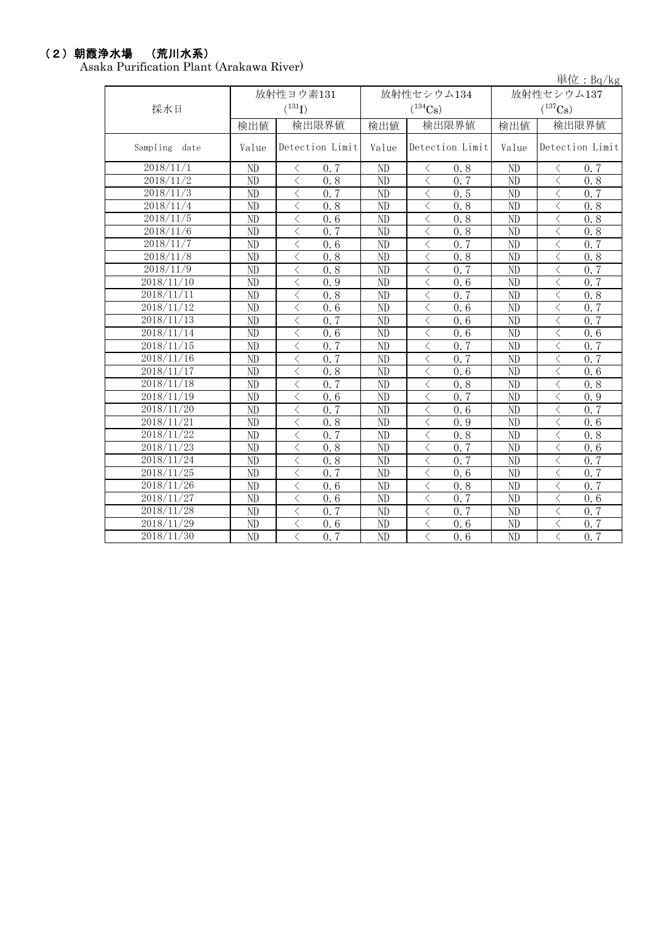### (2)朝霞浄水場 (荒川水系)

Asaka Purification Plant (Arakawa River)

| ra 1 aniitaanoin 1 iaine yhitänä va 1917 017 | 単位: $Bq/kg$             |                                |                 |                                                 |                       |                               |  |
|----------------------------------------------|-------------------------|--------------------------------|-----------------|-------------------------------------------------|-----------------------|-------------------------------|--|
|                                              | 放射性ヨウ素131<br>放射性セシウム134 |                                |                 |                                                 |                       | 放射性セシウム137                    |  |
| 採水日                                          | $({}^{131}\mathrm{I})$  |                                |                 | $(^{134}Cs)$                                    | $(^{137}\mathrm{Cs})$ |                               |  |
|                                              | 検出値                     | 検出限界値                          | 検出値             | 検出限界値                                           | 検出値                   | 検出限界値                         |  |
| Sampling<br>date                             | Value                   | Detection Limit                | Value           | Detection Limit                                 | Value                 | Detection Limit               |  |
| 2018/11/1                                    | ND                      | 0.7<br>ぐ                       | ND              | 0.8<br>$\langle$                                | ND                    | 0.7<br>⟨                      |  |
| 2018/11/2                                    | ND                      | $\langle$<br>0.8               | ND              | $\langle$<br>0.7                                | ND                    | $\langle$<br>0.8              |  |
| 2018/11/3                                    | ND                      | $\lt$<br>0.7                   | ND              | $\langle$<br>0.5                                | ND                    | $\langle$<br>0.7              |  |
| $\frac{2018}{11/4}$                          | ND                      | $\lt$<br>0.8                   | ND              | $\lt$<br>0.8                                    | ND                    | $\lt$<br>0.8                  |  |
| 2018/11/5                                    | ND                      | $\langle$<br>0.6               | ND              | $\lt$<br>0.8                                    | ND                    | $\langle$<br>0.8              |  |
| 2018/11/6                                    | ND                      | $\lt$<br>0.7                   | ND              | $\lt$<br>0, 8                                   | ND                    | $\lt$<br>0.8                  |  |
| 2018/11/7                                    | ND                      | $\lt$<br>0.6                   | ND              | $\lt$<br>0.7                                    | ND                    | $\lt$<br>0.7                  |  |
| 2018/11/8                                    | ND                      | $\lt$<br>0.8                   | ND              | $\lt$<br>0.8                                    | ND                    | $\langle$<br>0.8              |  |
| 2018/11/9                                    | ND                      | $\lt$<br>0.8                   | ND              | $\langle$<br>0.7                                | ND                    | $\lt$<br>0.7                  |  |
| 2018/11/10                                   | ND                      | $\lt$<br>0.9                   | ND              | $\lt$<br>0.6                                    | ND                    | $\lt$<br>0.7                  |  |
| 2018/11/11                                   | ND                      | $\lt$<br>0.8                   | ND              | $0.\overline{7}$<br>$\lt$                       | ND                    | $\langle$<br>0.8              |  |
| 2018/11/12                                   | ND                      | $\lt$<br>0.6                   | ND              | $\langle$<br>0.6                                | ND                    | $\langle$<br>0.7              |  |
| 2018/11/13                                   | ND                      | 0.7<br>$\langle$               | ND              | $\lt$<br>0.6                                    | ND                    | $\lt$<br>0.7                  |  |
| 2018/11/14                                   | ND                      | $\lt$<br>0.6                   | ND              | $\lt$<br>0.6                                    | ND                    | $\langle$<br>0.6              |  |
| 2018/11/15                                   | ND                      | 0, 7<br>$\lt$                  | ND              | $0, \overline{7}$<br>$\langle$                  | ND                    | $\langle$<br>0.7              |  |
| 2018/11/16                                   | ND                      | 0.7<br>$\langle$               | ND              | $\lt$<br>0.7                                    | ND                    | $\lt$<br>0.7                  |  |
| 2018/11/17                                   | ND                      | $\langle$<br>0.8               | ND              | $\lt$<br>0.6                                    | ND                    | $\langle$<br>0.6              |  |
| 2018/11/18                                   | ND                      | 0.7<br>$\langle$               | ND              | $\lt$<br>0.8                                    | ND                    | $\langle$<br>0.8              |  |
| 2018/11/19                                   | ND                      | $\lt$<br>0.6                   | ND              | $\overline{\left\langle \right\rangle }$<br>0.7 | ND                    | $\langle$<br>0.9              |  |
| 2018/11/20                                   | ND                      | $0, \overline{7}$<br>$\langle$ | ND              | $\langle$<br>0.6                                | ND                    | 0, 7<br>$\lt$                 |  |
| 2018/11/21                                   | ND                      | $\langle$<br>0.8               | ND              | $\lt$<br>0.9                                    | ND                    | $\langle$<br>0.6              |  |
| 2018/11/22                                   | ND                      | $\lt$<br>0.7                   | ND              | $\langle$<br>0.8                                | ND                    | $\langle$<br>0.8              |  |
| 2018/11/23                                   | ND                      | 0.8<br>$\langle$               | ND              | 0.7<br>$\lt$                                    | N <sub>D</sub>        | $\lt$<br>0.6                  |  |
| 2018/11/24                                   | ND                      | $\langle$<br>0.8               | ND              | 0.7<br>$\lt$                                    | ND                    | $\langle$<br>$0.\overline{7}$ |  |
| 2018/11/25                                   | ND                      | $\lt$<br>0.7                   | ND              | $\langle$<br>0.6                                | ND                    | $\langle$<br>0.7              |  |
| 2018/11/26                                   | $\overline{\text{ND}}$  | $\langle$<br>0.6               | $\overline{ND}$ | $\overline{\langle}$<br>0.8                     | $\overline{ND}$       | $\langle$<br>0, 7             |  |
| 2018/11/27                                   | ND                      | $\langle$<br>0.6               | ND              | 0.7<br>$\lt$                                    | ND                    | $\langle$<br>0.6              |  |
| 2018/11/28                                   | ND                      | $\lt$<br>0.7                   | ND              | $\langle$<br>0.7                                | ND                    | $\langle$<br>0.7              |  |
| 2018/11/29                                   | $\overline{\text{ND}}$  | $\langle$<br>0.6               | $\overline{ND}$ | $\lt$<br>0.6                                    | ND                    | $\langle$<br>0, 7             |  |
| 2018/11/30                                   | ND                      | 0, 7<br>$\langle$              | ND              | $\lt$<br>0.6                                    | ND                    | $\langle$<br>0.7              |  |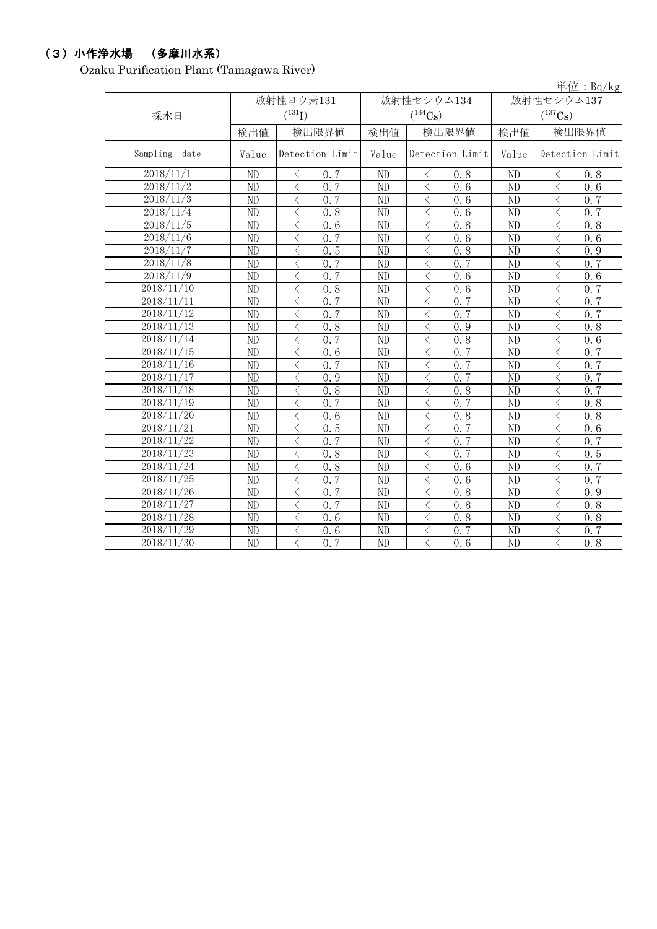# (3)小作浄水場 (多摩川水系)

Ozaku Purification Plant (Tamagawa River)

単位:Bq/kg

| 採水日                     |                        | 放射性ヨウ素131<br>$(^{131}I)$ |       | 放射性セシウム134<br>$(^{134}\mathrm{Cs})$ | 放射性セシウム137<br>$(^{137}\mathrm{Cs})$ |                                                 |  |
|-------------------------|------------------------|--------------------------|-------|-------------------------------------|-------------------------------------|-------------------------------------------------|--|
|                         | 検出値                    | 検出限界値                    | 検出値   | 検出限界値                               | 検出値                                 | 検出限界値                                           |  |
| Sampling<br>date        | Value                  | Detection Limit          | Value | Detection Limit                     | Value                               | Detection Limit                                 |  |
| 2018/11/1               | ND                     | 0.7<br>$\langle$         | ND    | 0.8<br>$\langle$                    | ND                                  | 0.8<br>$\langle$                                |  |
| 2018/11/2               | ND                     | $\langle$<br>0.7         | ND    | $\lt$<br>0.6                        | N <sub>D</sub>                      | $\overline{\left\langle \right\rangle }$<br>0.6 |  |
| 2018/11/3               | ND                     | 0.7<br>$\langle$         | ND    | $\langle$<br>0.6                    | ND                                  | 0.7<br>$\lt$                                    |  |
| 2018/11/4               | ND                     | $\lt$<br>0.8             | ND    | $\lt$<br>0.6                        | ND                                  | $\langle$<br>0, 7                               |  |
| 2018/11/5               | ND                     | $\langle$<br>0.6         | ND    | $\lt$<br>0.8                        | ND                                  | $\lt$<br>0.8                                    |  |
| 2018/11/6               | ND                     | 0.7<br>$\langle$         | ND    | $\langle$<br>0.6                    | N <sub>D</sub>                      | $\lt$<br>0, 6                                   |  |
| 2018/11/7               | ND                     | $\langle$<br>0.5         | ND    | $\langle$<br>0.8                    | ND                                  | $\hspace{0.5cm}\mathopen{<}$<br>0.9             |  |
| 2018/11/8               | ND                     | $\lt$<br>0.7             | ND    | $\,$ $\,$ $\,$<br>0.7               | ND                                  | $\langle$<br>0.7                                |  |
| 2018/11/9               | N <sub>D</sub>         | $\langle$<br>0.7         | ND    | $\lt$<br>0.6                        | N <sub>D</sub>                      | $\langle$<br>0, 6                               |  |
| 2018/11/10              | ND                     | 0.8<br>$\langle$         | ND    | $\lt$<br>0.6                        | ND                                  | 0, 7<br>$\langle$                               |  |
| 2018/11/11              | ND                     | 0.7<br>$\langle$         | ND    | $\langle$<br>0.7                    | ND                                  | $\lt$<br>0.7                                    |  |
| 2018/11/12              | ND                     | 0.7<br>$\langle$         | ND    | $\langle$<br>0, 7                   | ND                                  | $\lt$<br>0, 7                                   |  |
| 2018/11/13              | ND                     | $\lt$<br>0.8             | ND    | $\lt$<br>0.9                        | ND                                  | $\hspace{0.5cm}\mathopen{<}$<br>0.8             |  |
| 2018/11/14              | ND                     | 0.7<br>$\langle$         | ND    | $\lt$<br>0.8                        | ND                                  | $\langle$<br>0.6                                |  |
| 2018/11/15              | $\overline{\text{ND}}$ | $\langle$<br>0.6         | ND    | $\overline{\langle}$<br>0.7         | N <sub>D</sub>                      | $\overline{\langle}$<br>0, 7                    |  |
| 2018/11/16              | $\overline{\text{ND}}$ | 0.7<br>$\langle$         | ND    | $\overline{\langle}$<br>0.7         | $\overline{ND}$                     | $\overline{\langle}$<br>0, 7                    |  |
| 2018/11/17              | N <sub>D</sub>         | $\lt$<br>0.9             | ND    | $\lt$<br>0, 7                       | N <sub>D</sub>                      | $\langle$<br>0, 7                               |  |
| 2018/11/18              | ND                     | $\langle$<br>0.8         | ND    | $\langle$<br>0.8                    | N <sub>D</sub>                      | 0.7<br>$\lt$                                    |  |
| 2018/11/19              | ND                     | $\langle$<br>0.7         | ND    | $\overline{\langle}$<br>0.7         | ND                                  | $\overline{\langle}$<br>0.8                     |  |
| 2018/11/20              | ND                     | $\lt$<br>0.6             | ND    | $\lt$<br>0.8                        | ND                                  | $\lt$<br>0, 8                                   |  |
| 2018/11/21              | ND                     | $\langle$<br>0.5         | ND    | $\langle$<br>0, 7                   | ND                                  | $\lt$<br>0.6                                    |  |
| 2018/11/22              | ND                     | $\langle$<br>0.7         | ND    | $\lt$<br>0.7                        | ND                                  | 0.7<br>$\hspace{0.5cm}\mathopen{<}$             |  |
| 2018/11/23              | ND                     | 0.8<br>$\langle$         | ND    | $\langle$<br>0.7                    | N <sub>D</sub>                      | 0.5<br>$\lt$                                    |  |
| 2018/11/24              | ND                     | $\langle$<br>0.8         | ND    | $\lt$<br>0.6                        | ND                                  | $\langle$<br>0.7                                |  |
| 2018/11/25              | ND                     | 0.7<br>$\langle$         | ND    | $\langle$<br>0.6                    | ND                                  | 0.7<br>$\langle$                                |  |
| 2018/11/26              | ND                     | $\langle$<br>0.7         | ND    | $\langle$<br>0.8                    | N <sub>D</sub>                      | $\lt$<br>0.9                                    |  |
| 2018/11/27              | ND                     | $\langle$<br>0, 7        | ND    | $\lt$<br>0.8                        | ND                                  | $\lt$<br>0.8                                    |  |
| 2018/11/28              | ND                     | $\langle$<br>0.6         | ND    | $\langle$<br>0.8                    | ND                                  | $\lt$<br>0.8                                    |  |
| 2018/11/29              | ND                     | $\lt$<br>0.6             | ND    | $\lt$<br>0.7                        | ND                                  | 0, 7<br>$\langle$                               |  |
| $\overline{2018}/11/30$ | ND                     | $\langle$<br>0, 7        | ND    | $\langle$<br>$0.\overline{6}$       | ND                                  | $\overline{\left\langle \right\rangle }$<br>0.8 |  |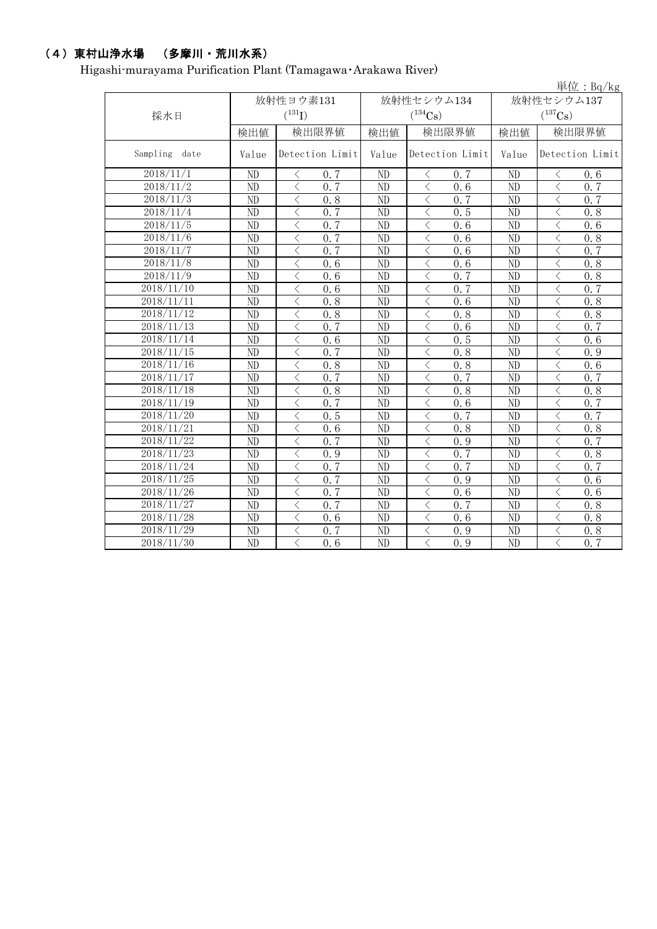## (4)東村山浄水場 (多摩川・荒川水系)

Higashi-murayama Purification Plant (Tamagawa・Arakawa River)

| 単位: $Bq/kg$             |                        |                                                 |       |                   |                       |                                                  |  |  |  |
|-------------------------|------------------------|-------------------------------------------------|-------|-------------------|-----------------------|--------------------------------------------------|--|--|--|
|                         |                        | 放射性ヨウ素131                                       |       | 放射性セシウム134        | 放射性セシウム137            |                                                  |  |  |  |
| 採水日                     |                        | $(^{131}I)$                                     |       | $(^{134}Cs)$      | $(^{137}\mathrm{Cs})$ |                                                  |  |  |  |
|                         |                        |                                                 |       |                   |                       |                                                  |  |  |  |
|                         | 検出値                    | 検出限界値                                           | 検出値   | 検出限界値             | 検出値                   | 検出限界値                                            |  |  |  |
| Sampling<br>date        | Value                  | Detection Limit                                 | Value | Detection Limit   | Value                 | Detection Limit                                  |  |  |  |
| 2018/11/1               | N <sub>D</sub>         | 0.7<br>$\langle$                                | ND    | $\langle$<br>0.7  | $\overline{ND}$       | $\langle$<br>0.6                                 |  |  |  |
| 2018/11/2               | N <sub>D</sub>         | 0.7<br>$\lt$                                    | ND    | $\langle$<br>0, 6 | N <sub>D</sub>        | $\langle$<br>0, 7                                |  |  |  |
| 2018/11/3               | ND                     | 0.8<br>$\langle$                                | ND    | 0, 7<br>$\langle$ | ND                    | 0, 7<br>$\langle$                                |  |  |  |
| $\frac{2018}{11}/4$     | ND                     | $\langle$<br>0.7                                | ND    | $\lt$<br>0.5      | $\overline{ND}$       | $\lt$<br>0.8                                     |  |  |  |
| 2018/11/5               | ND                     | $\overline{\left\langle \right\rangle }$<br>0.7 | ND    | $\langle$<br>0.6  | $\overline{ND}$       | $\overline{\left\langle \right\rangle }$<br>0, 6 |  |  |  |
| 2018/11/6               | ND                     | $\langle$<br>0.7                                | ND    | $\lt$<br>0.6      | ND                    | $\langle$<br>0.8                                 |  |  |  |
| 2018/11/7               | $\overline{\text{ND}}$ | $\overline{\left\langle \right\rangle }$<br>0.7 | ND    | $\lt$<br>0.6      | $\overline{ND}$       | $\langle$<br>0.7                                 |  |  |  |
| 2018/11/8               | $\overline{ND}$        | 0.6<br>$\langle$                                | ND    | $\lt$<br>0.6      | $\overline{ND}$       | $\langle$<br>0.8                                 |  |  |  |
| 2018/11/9               | ND                     | $\overline{\left\langle \right\rangle }$<br>0.6 | ND    | $\lt$<br>0.7      | ND                    | $\langle$<br>0.8                                 |  |  |  |
| 2018/11/10              | ND                     | $\lt$<br>0.6                                    | ND    | $\lt$<br>0.7      | ND                    | $\langle$<br>0.7                                 |  |  |  |
| 2018/11/11              | ND                     | $\langle$<br>0.8                                | ND    | $\lt$<br>0.6      | ND                    | $\langle$<br>0.8                                 |  |  |  |
| 2018/11/12              | ND                     | $\langle$<br>0.8                                | ND    | $\langle$<br>0.8  | ND                    | $\langle$<br>0.8                                 |  |  |  |
| 2018/11/13              | ND                     | $\langle$<br>0.7                                | ND    | $\lt$<br>0.6      | ND                    | $\langle$<br>0.7                                 |  |  |  |
| 2018/11/14              | ND                     | $\lt$<br>0.6                                    | ND    | $\lt$<br>0.5      | ND                    | $\langle$<br>0.6                                 |  |  |  |
| 2018/11/15              | ND                     | $\overline{\left\langle \right\rangle }$<br>0.7 | ND    | $\lt$<br>0.8      | ND                    | $\overline{\langle}$<br>0.9                      |  |  |  |
| $\overline{2018}/11/16$ | $\overline{ND}$        | $\overline{\left\langle \right\rangle }$<br>0.8 | ND    | $\lt$<br>0.8      | $\overline{ND}$       | $\langle$<br>0.6                                 |  |  |  |
| 2018/11/17              | ND                     | $\lt$<br>0.7                                    | ND    | 0, 7<br>$\lt$     | N <sub>D</sub>        | $\langle$<br>0, 7                                |  |  |  |
| 2018/11/18              | $\overline{ND}$        | $\lt$<br>0.8                                    | ND    | 0.8<br>$\lt$      | ND                    | $\langle$<br>0.8                                 |  |  |  |
| 2018/11/19              | ND                     | 0.7<br>$\lt$                                    | ND    | 0.6<br>$\lt$      | ND                    | $\langle$<br>0, 7                                |  |  |  |
| 2018/11/20              | ND                     | 0.5<br>$\lt$                                    | ND    | 0, 7<br>$\lt$     | ND                    | $\lt$<br>0, 7                                    |  |  |  |
| 2018/11/21              | ND                     | $\lt$<br>0.6                                    | ND    | $\lt$<br>0.8      | ND                    | $\lt$<br>0.8                                     |  |  |  |
| 2018/11/22              | ND                     | 0.7<br>$\lt$                                    | ND    | 0.9<br>$\lt$      | ND                    | $\langle$<br>0, 7                                |  |  |  |
| 2018/11/23              | ND                     | $\langle$<br>0.9                                | ND    | 0, 7<br>$\langle$ | ND                    | $\langle$<br>0.8                                 |  |  |  |
| 2018/11/24              | ND                     | $\langle$<br>0.7                                | ND    | $\langle$<br>0, 7 | ND                    | $\langle$<br>0, 7                                |  |  |  |
| 2018/11/25              | ND                     | 0.7<br>$\lt$                                    | ND    | $\lt$<br>0.9      | ND                    | $\lt$<br>0.6                                     |  |  |  |
| 2018/11/26              | ND                     | $\langle$<br>0.7                                | ND    | $\lt$<br>0.6      | ND                    | $\lt$<br>0.6                                     |  |  |  |
| 2018/11/27              | ND                     | 0.7<br>$\langle$                                | ND    | $\lt$<br>0.7      | ND                    | $\lt$<br>0.8                                     |  |  |  |
| 2018/11/28              | ND                     | $\langle$<br>0.6                                | ND    | $\lt$<br>0.6      | N <sub>D</sub>        | $\lt$<br>0.8                                     |  |  |  |
| 2018/11/29              | ND                     | $0.\overline{7}$<br>$\langle$                   | ND    | $\lt$<br>0.9      | ND                    | $\lt$<br>0.8                                     |  |  |  |
| 2018/11/30              | ND                     | $\langle$<br>0.6                                | ND    | $\langle$<br>0.9  | ND                    | $\langle$<br>$0.\overline{7}$                    |  |  |  |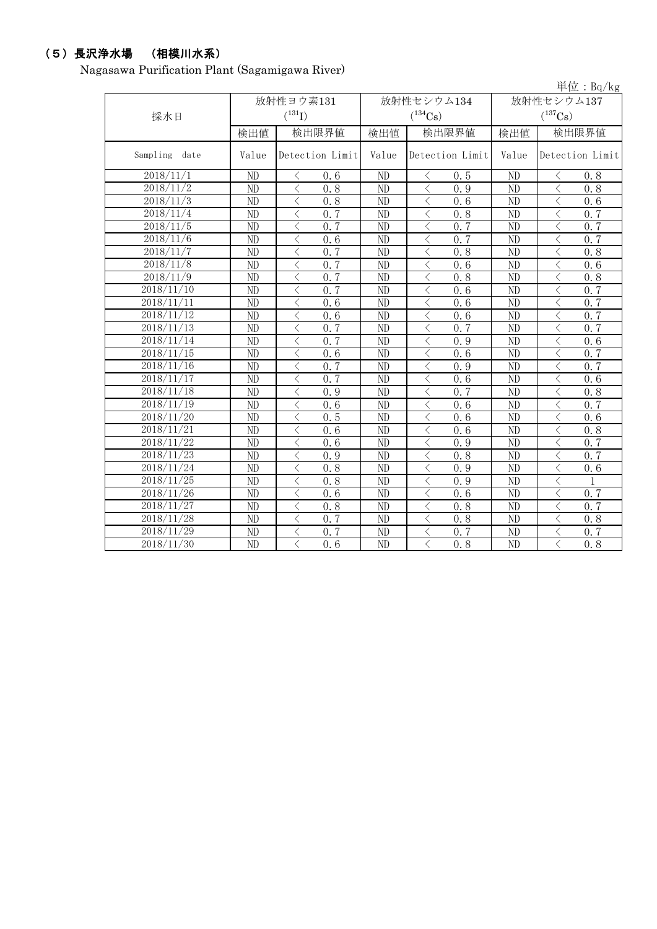## (5)長沢浄水場 (相模川水系)

Nagasawa Purification Plant (Sagamigawa River)

|               |                 |                             |                 |                                 |                       | 単位: $Bq/kg$                                     |  |  |
|---------------|-----------------|-----------------------------|-----------------|---------------------------------|-----------------------|-------------------------------------------------|--|--|
|               |                 | 放射性ヨウ素131                   |                 | 放射性セシウム134                      |                       | 放射性セシウム137                                      |  |  |
| 採水日           |                 | $({}^{131}\text{I})$        |                 | $(^{134}\mathrm{Cs})$           | $(^{137}\mathrm{Cs})$ |                                                 |  |  |
|               | 検出値             | 検出限界値                       | 検出値             | 検出限界値                           | 検出値                   | 検出限界値                                           |  |  |
| Sampling date | Value           | Detection Limit             | Value           | Detection Limit                 | Value                 | Detection Limit                                 |  |  |
| 2018/11/1     | ND              | 0.6<br>$\langle$            | ND              | 0.5<br>$\lt$                    | ND                    | 0.8<br>⟨                                        |  |  |
| 2018/11/2     | ND              | $\langle$<br>0, 8           | ND              | $\langle$<br>$\overline{0}$ . 9 | ND                    | $\langle$<br>0, 8                               |  |  |
| 2018/11/3     | ND              | $\langle$<br>0.8            | ND              | $\langle$<br>0.6                | N <sub>D</sub>        | $\langle$<br>0.6                                |  |  |
| 2018/11/4     | ND              | $\langle$<br>0.7            | ND              | $\langle$<br>0.8                | N <sub>D</sub>        | $\langle$<br>0.7                                |  |  |
| 2018/11/5     | ND              | 0, 7<br>$\langle$           | ND              | $\langle$<br>0, 7               | $\overline{ND}$       | 0.7<br>$\langle$                                |  |  |
| 2018/11/6     | N <sub>D</sub>  | $\lt$<br>0.6                | ND              | $\lt$<br>0, 7                   | N <sub>D</sub>        | $\lt$<br>0, 7                                   |  |  |
| 2018/11/7     | $\overline{ND}$ | $\langle$<br>0, 7           | ND              | $\langle$<br>0.8                | $\overline{ND}$       | 0.8<br>$\langle$                                |  |  |
| 2018/11/8     | ND              | $\lt$<br>0.7                | ND              | $\langle$<br>0.6                | ND                    | $\lt$<br>0.6                                    |  |  |
| 2018/11/9     | ND              | 0, 7<br>$\langle$           | ND              | $\langle$<br>0.8                | $\overline{ND}$       | $\langle$<br>0.8                                |  |  |
| 2018/11/10    | ND              | 0.7<br>$\langle$            | ND              | $\langle$<br>0.6                | ND                    | $\langle$<br>0.7                                |  |  |
| 2018/11/11    | ND              | $\lt$<br>$\overline{0.6}$   | ND              | $\langle$<br>0.6                | $\overline{ND}$       | $\langle$<br>0.7                                |  |  |
| 2018/11/12    | ND              | $\langle$<br>0.6            | ND              | $\lt$<br>0.6                    | ND                    | $\lt$<br>$0, \overline{7}$                      |  |  |
| 2018/11/13    | ND              | 0.7<br>$\langle$            | ND              | $\lt$<br>0, 7                   | $\overline{ND}$       | $\langle$<br>0.7                                |  |  |
| 2018/11/14    | ND              | 0.7<br>$\langle$            | ND              | $\lt$<br>0.9                    | N <sub>D</sub>        | $\lt$<br>0.6                                    |  |  |
| 2018/11/15    | $\overline{ND}$ | $\overline{\langle}$<br>0.6 | $\overline{ND}$ | $\langle$<br>$\overline{0.6}$   | $\overline{ND}$       | $\overline{\left\langle \right\rangle }$<br>0.7 |  |  |
| 2018/11/16    | $\overline{ND}$ | 0, 7<br>$\langle$           | ND              | $\lt$<br>0.9                    | $\overline{ND}$       | $\langle$<br>0.7                                |  |  |
| 2018/11/17    | N <sub>D</sub>  | $\langle$<br>0.7            | ND              | $\,<\,$<br>0, 6                 | ND                    | $\langle$<br>0, 6                               |  |  |
| 2018/11/18    | N <sub>D</sub>  | $\langle$<br>0.9            | ND              | $\langle$<br>0.7                | ND                    | $\langle$<br>0.8                                |  |  |
| 2018/11/19    | ND              | 0.6<br>$\langle$            | ND              | $\lt$<br>0.6                    | ND                    | 0.7<br>$\langle$                                |  |  |
| 2018/11/20    | ND              | 0.5<br>$\langle$            | ND              | $\langle$<br>0.6                | ND                    | $\langle$<br>$\overline{0.6}$                   |  |  |
| 2018/11/21    | ND              | $\lt$<br>0.6                | ND              | 0.6<br>$\langle$                | ND                    | $\lt$<br>0.8                                    |  |  |
| 2018/11/22    | N <sub>D</sub>  | $\lt$<br>$\overline{0.6}$   | ND              | $\langle$<br>0.9                | ND                    | $\lt$<br>0.7                                    |  |  |
| 2018/11/23    | ND              | $\langle$<br>0.9            | ND              | $\langle$<br>0.8                | ND                    | $\langle$<br>0, 7                               |  |  |
| 2018/11/24    | ND              | $\langle$<br>0.8            | ND              | $\langle$<br>0.9                | ND                    | $\langle$<br>0.6                                |  |  |
| 2018/11/25    | ND              | $\langle$<br>0.8            | ND              | $\langle$<br>0.9                | ND                    | $\langle$                                       |  |  |
| 2018/11/26    | ND              | $\langle$<br>0, 6           | ND              | $\lt$<br>0, 6                   | ND                    | $\langle$<br>0, 7                               |  |  |
| 2018/11/27    | ND              | $\langle$<br>0.8            | ND              | $\langle$<br>0.8                | ND                    | $\langle$<br>0.7                                |  |  |
| 2018/11/28    | ND              | $\langle$<br>0.7            | ND              | $\langle$<br>0.8                | ND                    | $\lt$<br>0.8                                    |  |  |
| 2018/11/29    | ND              | $\langle$<br>0.7            | ND              | $\lt$<br>0.7                    | ND                    | $\lt$<br>0, 7                                   |  |  |
| 2018/11/30    | ND              | $\langle$<br>0, 6           | ND              | 0.8<br>$\langle$                | ND                    | $\langle$<br>0, 8                               |  |  |